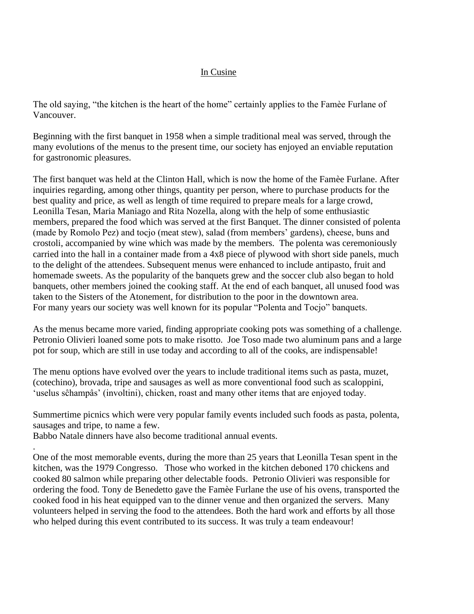## In Cusine

The old saying, "the kitchen is the heart of the home" certainly applies to the Famèe Furlane of Vancouver.

Beginning with the first banquet in 1958 when a simple traditional meal was served, through the many evolutions of the menus to the present time, our society has enjoyed an enviable reputation for gastronomic pleasures.

The first banquet was held at the Clinton Hall, which is now the home of the Famèe Furlane. After inquiries regarding, among other things, quantity per person, where to purchase products for the best quality and price, as well as length of time required to prepare meals for a large crowd, Leonilla Tesan, Maria Maniago and Rita Nozella, along with the help of some enthusiastic members, prepared the food which was served at the first Banquet. The dinner consisted of polenta (made by Romolo Pez) and tocjo (meat stew), salad (from members' gardens), cheese, buns and crostoli, accompanied by wine which was made by the members. The polenta was ceremoniously carried into the hall in a container made from a 4x8 piece of plywood with short side panels, much to the delight of the attendees. Subsequent menus were enhanced to include antipasto, fruit and homemade sweets. As the popularity of the banquets grew and the soccer club also began to hold banquets, other members joined the cooking staff. At the end of each banquet, all unused food was taken to the Sisters of the Atonement, for distribution to the poor in the downtown area. For many years our society was well known for its popular "Polenta and Tocjo" banquets.

As the menus became more varied, finding appropriate cooking pots was something of a challenge. Petronio Olivieri loaned some pots to make risotto. Joe Toso made two aluminum pans and a large pot for soup, which are still in use today and according to all of the cooks, are indispensable!

The menu options have evolved over the years to include traditional items such as pasta, muzet, (cotechino), brovada, tripe and sausages as well as more conventional food such as scaloppini, 'uselus sĉhampâs' (involtini), chicken, roast and many other items that are enjoyed today.

Summertime picnics which were very popular family events included such foods as pasta, polenta, sausages and tripe, to name a few.

Babbo Natale dinners have also become traditional annual events.

. One of the most memorable events, during the more than 25 years that Leonilla Tesan spent in the kitchen, was the 1979 Congresso. Those who worked in the kitchen deboned 170 chickens and cooked 80 salmon while preparing other delectable foods. Petronio Olivieri was responsible for ordering the food. Tony de Benedetto gave the Famèe Furlane the use of his ovens, transported the cooked food in his heat equipped van to the dinner venue and then organized the servers. Many volunteers helped in serving the food to the attendees. Both the hard work and efforts by all those who helped during this event contributed to its success. It was truly a team endeavour!